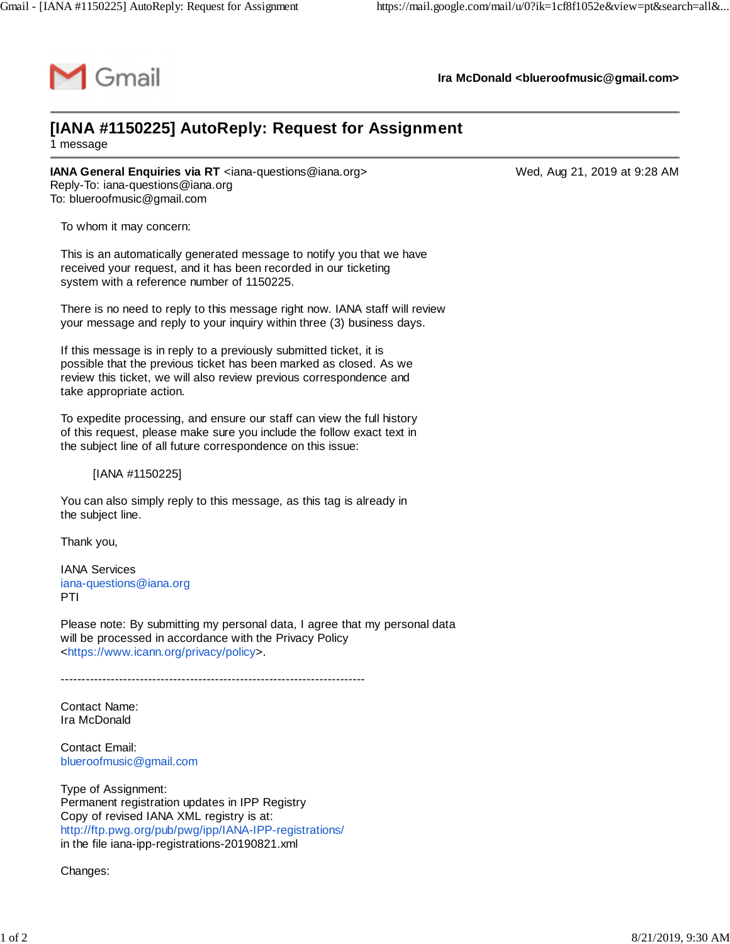

**Ira McDonald [<blueroofmusic@gmail.com>](mailto:blueroofmusic@gmail.com)**

## **[IANA #1150225] AutoReply: Request for Assignment**

1 message

**IANA General Enquiries via RT** <[iana-questions@iana.org](mailto:iana-questions@iana.org)> Wed, Aug 21, 2019 at 9:28 AM Reply-To: [iana-questions@iana.org](mailto:iana-questions@iana.org) To: [blueroofmusic@gmail.com](mailto:blueroofmusic@gmail.com)

To whom it may concern:

This is an automatically generated message to notify you that we have received your request, and it has been recorded in our ticketing system with a reference number of 1150225.

There is no need to reply to this message right now. IANA staff will review your message and reply to your inquiry within three (3) business days.

If this message is in reply to a previously submitted ticket, it is possible that the previous ticket has been marked as closed. As we review this ticket, we will also review previous correspondence and take appropriate action.

To expedite processing, and ensure our staff can view the full history of this request, please make sure you include the follow exact text in the subject line of all future correspondence on this issue:

[IANA #1150225]

You can also simply reply to this message, as this tag is already in the subject line.

Thank you,

IANA Services [iana-questions@iana.org](mailto:iana-questions@iana.org) PTI

Please note: By submitting my personal data, I agree that my personal data will be processed in accordance with the Privacy Policy <[https://www.icann.org/privacy/policy>](https://www.icann.org/privacy/policy).

-------------------------------------------------------------------------

Contact Name: Ira McDonald

Contact Email: [blueroofmusic@gmail.com](mailto:blueroofmusic@gmail.com)

Type of Assignment: Permanent registration updates in IPP Registry Copy of revised IANA XML registry is at: <http://ftp.pwg.org/pub/pwg/ipp/IANA-IPP-registrations/> in the file iana-ipp-registrations-20190821.xml

Changes: